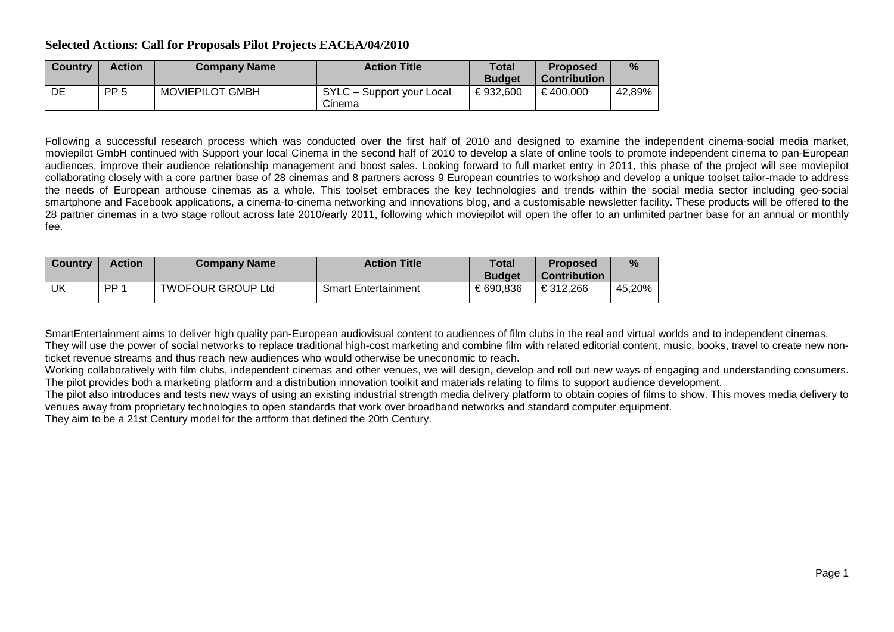## **Selected Actions: Call for Proposals Pilot Projects EACEA/04/2010**

| <b>Country</b> | <b>Action</b>   | <b>Company Name</b>    | <b>Action Title</b>                 | Total<br><b>Budget</b> | <b>Proposed</b><br><b>Contribution</b> | %       |
|----------------|-----------------|------------------------|-------------------------------------|------------------------|----------------------------------------|---------|
| DE             | PP <sub>5</sub> | <b>MOVIEPILOT GMBH</b> | SYLC - Support your Local<br>Cinema | €932.600               | €400.000                               | 42,89%」 |

Following a successful research process which was conducted over the first half of 2010 and designed to examine the independent cinema-social media market, moviepilot GmbH continued with Support your local Cinema in the second half of 2010 to develop a slate of online tools to promote independent cinema to pan-European audiences, improve their audience relationship management and boost sales. Looking forward to full market entry in 2011, this phase of the project will see moviepilot collaborating closely with a core partner base of 28 cinemas and 8 partners across 9 European countries to workshop and develop a unique toolset tailor-made to address the needs of European arthouse cinemas as a whole. This toolset embraces the key technologies and trends within the social media sector including geo-social smartphone and Facebook applications, a cinema-to-cinema networking and innovations blog, and a customisable newsletter facility. These products will be offered to the 28 partner cinemas in a two stage rollout across late 2010/early 2011, following which moviepilot will open the offer to an unlimited partner base for an annual or monthly fee.

| <b>Country</b> | Action          | <b>Company Name</b>      | <b>Action Title</b>        | Total<br><b>Budget</b> | <b>Proposed</b><br><b>Contribution</b> | %      |
|----------------|-----------------|--------------------------|----------------------------|------------------------|----------------------------------------|--------|
| UK             | PP <sub>1</sub> | <b>TWOFOUR GROUP Ltd</b> | <b>Smart Entertainment</b> | €690.836               | €312.266                               | 45,20% |

SmartEntertainment aims to deliver high quality pan-European audiovisual content to audiences of film clubs in the real and virtual worlds and to independent cinemas. They will use the power of social networks to replace traditional high-cost marketing and combine film with related editorial content, music, books, travel to create new nonticket revenue streams and thus reach new audiences who would otherwise be uneconomic to reach.

Working collaboratively with film clubs, independent cinemas and other venues, we will design, develop and roll out new ways of engaging and understanding consumers. The pilot provides both a marketing platform and a distribution innovation toolkit and materials relating to films to support audience development.

The pilot also introduces and tests new ways of using an existing industrial strength media delivery platform to obtain copies of films to show. This moves media delivery to venues away from proprietary technologies to open standards that work over broadband networks and standard computer equipment.

They aim to be a 21st Century model for the artform that defined the 20th Century.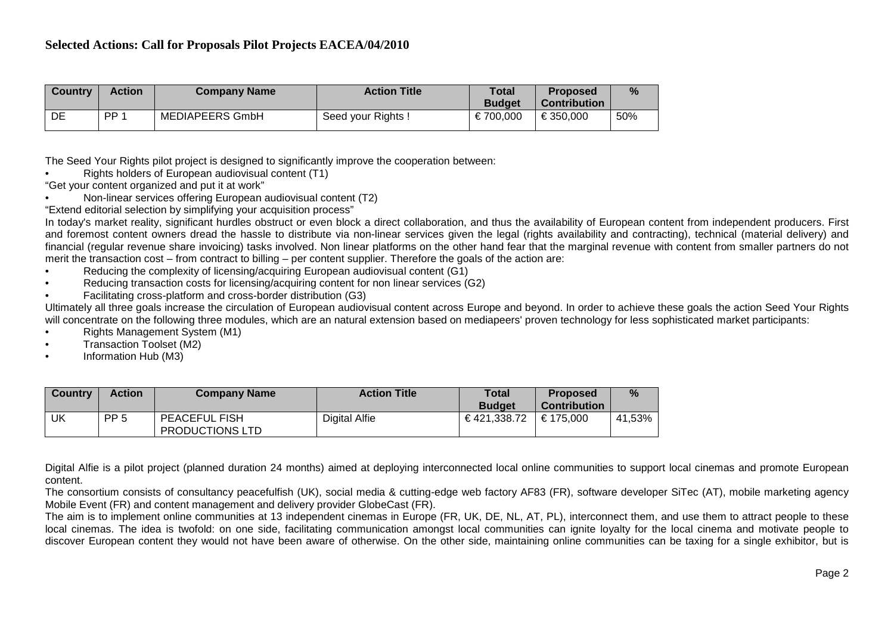| <b>Country</b> | <b>Action</b>   | <b>Company Name</b> | <b>Action Title</b> | <b>Total</b><br><b>Budget</b> | <b>Proposed</b><br>Contribution | $\frac{0}{2}$ |
|----------------|-----------------|---------------------|---------------------|-------------------------------|---------------------------------|---------------|
| DE             | PP <sub>1</sub> | MEDIAPEERS GmbH     | Seed your Rights!   | €700.000                      | €350.000                        | 50%           |

The Seed Your Rights pilot project is designed to significantly improve the cooperation between:

• Rights holders of European audiovisual content (T1)

"Get your content organized and put it at work"

- Non-linear services offering European audiovisual content (T2)
- "Extend editorial selection by simplifying your acquisition process"

In today's market reality, significant hurdles obstruct or even block a direct collaboration, and thus the availability of European content from independent producers. First and foremost content owners dread the hassle to distribute via non-linear services given the legal (rights availability and contracting), technical (material delivery) and financial (regular revenue share invoicing) tasks involved. Non linear platforms on the other hand fear that the marginal revenue with content from smaller partners do not merit the transaction cost – from contract to billing – per content supplier. Therefore the goals of the action are:

- Reducing the complexity of licensing/acquiring European audiovisual content (G1)
- Reducing transaction costs for licensing/acquiring content for non linear services (G2)
- Facilitating cross-platform and cross-border distribution (G3)

Ultimately all three goals increase the circulation of European audiovisual content across Europe and beyond. In order to achieve these goals the action Seed Your Rights will concentrate on the following three modules, which are an natural extension based on mediapeers' proven technology for less sophisticated market participants:

- Rights Management System (M1)
- Transaction Toolset (M2)
- Information Hub (M3)

| <b>Country</b> | <b>Action</b>   | <b>Company Name</b>                     | <b>Action Title</b>  | <b>Total</b>  | <b>Proposed</b>     | %      |
|----------------|-----------------|-----------------------------------------|----------------------|---------------|---------------------|--------|
|                |                 |                                         |                      | <b>Budget</b> | <b>Contribution</b> |        |
| UK             | PP <sub>5</sub> | <b>PEACEFUL FISH</b><br>PRODUCTIONS LTD | <b>Digital Alfie</b> | €421,338.72   | €175.000            | 41,53% |

Digital Alfie is a pilot project (planned duration 24 months) aimed at deploying interconnected local online communities to support local cinemas and promote European content.

The consortium consists of consultancy peacefulfish (UK), social media & cutting-edge web factory AF83 (FR), software developer SiTec (AT), mobile marketing agency Mobile Event (FR) and content management and delivery provider GlobeCast (FR).

The aim is to implement online communities at 13 independent cinemas in Europe (FR, UK, DE, NL, AT, PL), interconnect them, and use them to attract people to these local cinemas. The idea is twofold: on one side, facilitating communication amongst local communities can ignite loyalty for the local cinema and motivate people to discover European content they would not have been aware of otherwise. On the other side, maintaining online communities can be taxing for a single exhibitor, but is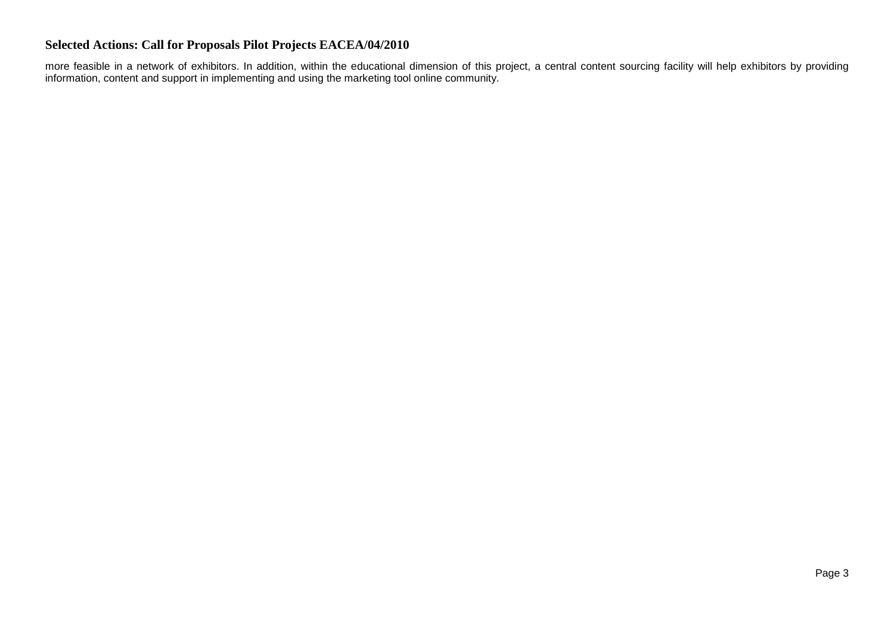## **Selected Actions: Call for Proposals Pilot Projects EACEA/04/2010**

more feasible in a network of exhibitors. In addition, within the educational dimension of this project, a central content sourcing facility will help exhibitors by providing information, content and support in implementing and using the marketing tool online community.